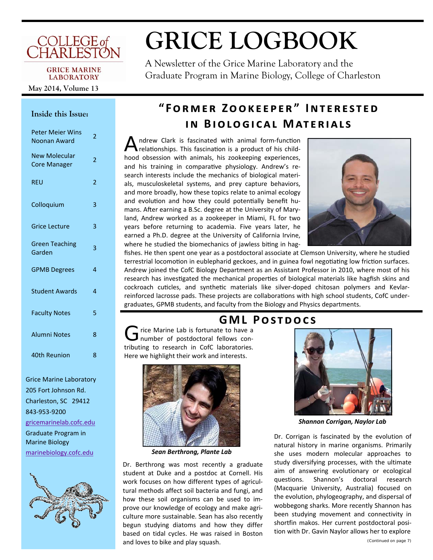# COLLEGE of<br>CHARLESTON

#### **GRICE MARINE LABORATORY**

May 2014, Volume 13

#### Inside this Issue:

| <b>Peter Meier Wins</b><br>Noonan Award     | $\overline{2}$ |
|---------------------------------------------|----------------|
| <b>New Molecular</b><br><b>Core Manager</b> | $\overline{2}$ |
| <b>REU</b>                                  | 2              |
| Colloquium                                  | 3              |
| <b>Grice Lecture</b>                        | 3              |
| <b>Green Teaching</b><br>Garden             | 3              |
| <b>GPMB Degrees</b>                         | $\overline{a}$ |
| <b>Student Awards</b>                       | 4              |
| <b>Faculty Notes</b>                        | 5              |
| <b>Alumni Notes</b>                         | 8              |
| 40th Reunion                                | 8              |

**Grice Marine Laboratory** 205 Fort Johnson Rd. Charleston, SC 29412 843-953-9200 gricemarinelab.cofc.edu **Graduate Program in Marine Biology** marinebiology.cofc.edu



# **GRICE LOGBOOK**

A Newsletter of the Grice Marine Laboratory and the Graduate Program in Marine Biology, College of Charleston

# "FORMER ZOOKEEPER" INTERESTED IN BIOLOGICAL MATERIALS

ndrew Clark is fascinated with animal form-function relationships. This fascination is a product of his childhood obsession with animals, his zookeeping experiences, and his training in comparative physiology. Andrew's research interests include the mechanics of biological materials, musculoskeletal systems, and prey capture behaviors, and more broadly, how these topics relate to animal ecology and evolution and how they could potentially benefit humans. After earning a B.Sc. degree at the University of Maryland, Andrew worked as a zookeeper in Miami, FL for two years before returning to academia. Five years later, he earned a Ph.D. degree at the University of California Irvine, where he studied the biomechanics of jawless biting in hag-



fishes. He then spent one year as a postdoctoral associate at Clemson University, where he studied terrestrial locomotion in eublepharid geckoes, and in guinea fowl negotiating low friction surfaces. Andrew joined the CofC Biology Department as an Assistant Professor in 2010, where most of his research has investigated the mechanical properties of biological materials like hagfish skins and cockroach cuticles, and synthetic materials like silver-doped chitosan polymers and Kevlarreinforced lacrosse pads. These projects are collaborations with high school students, CofC undergraduates, GPMB students, and faculty from the Biology and Physics departments.

rice Marine Lab is fortunate to have a number of postdoctoral fellows contributing to research in CofC laboratories. Here we highlight their work and interests.



Sean Berthrong, Plante Lab

Dr. Berthrong was most recently a graduate student at Duke and a postdoc at Cornell. His work focuses on how different types of agricultural methods affect soil bacteria and fungi, and how these soil organisms can be used to improve our knowledge of ecology and make agriculture more sustainable. Sean has also recently begun studying diatoms and how they differ based on tidal cycles. He was raised in Boston and loves to bike and play squash.

## **GML POSTDOCS**



**Shannon Corrigan, Naylor Lab** 

Dr. Corrigan is fascinated by the evolution of natural history in marine organisms. Primarily she uses modern molecular approaches to study diversifying processes, with the ultimate aim of answering evolutionary or ecological questions. Shannon's doctoral research (Macquarie University, Australia) focused on the evolution, phylogeography, and dispersal of wobbegong sharks. More recently Shannon has been studying movement and connectivity in shortfin makos. Her current postdoctoral position with Dr. Gavin Naylor allows her to explore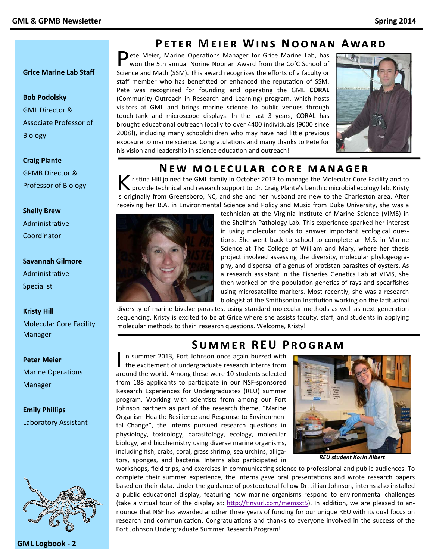#### **Grice Marine Lab Staff**

#### **Bob Podolsky**

GML Director & Associate Professor of Biology

## **Craig Plante**

GPMB Director & Professor of Biology

#### **Shelly Brew**

**Administrative** Coordinator

#### **Savannah Gilmore**

**Administrative** Specialist

#### **Kristy Hill**

Molecular Core Facility Manager

#### **Peter Meier**

**Marine Operations** Manager

#### **Emily Phillips**  Laboratory Assistant



## **PETER MEIER WINS NOONAN AWARD**

Pete Meier, Marine Operations Manager for Grice Marine Lab, has won the 5th annual Norine Noonan Award from the CofC School of Science and Math (SSM). This award recognizes the efforts of a faculty or staff member who has benefitted or enhanced the reputation of SSM. Pete was recognized for founding and operating the GML **CORAL** (Community Outreach in Research and Learning) program, which hosts visitors at GML and brings marine science to public venues through touch-tank and microscope displays. In the last 3 years, CORAL has brought educational outreach locally to over 4400 individuals (9000 since 2008!), including many schoolchildren who may have had little previous exposure to marine science. Congratulations and many thanks to Pete for his vision and leadership in science education and outreach!



## **NEW MOLECULAR CORE MANAGER**

ristina Hill joined the GML family in October 2013 to manage the Molecular Core Facility and to provide technical and research support to Dr. Craig Plante's benthic microbial ecology lab. Kristy is originally from Greensboro, NC, and she and her husband are new to the Charleston area. After receiving her B.A. in Environmental Science and Policy and Music from Duke University, she was a



technician at the Virginia Institute of Marine Science (VIMS) in the Shellfish Pathology Lab. This experience sparked her interest in using molecular tools to answer important ecological ques‐ tions. She went back to school to complete an M.S. in Marine Science at The College of William and Mary, where her thesis project involved assessing the diversity, molecular phylogeogra‐ phy, and dispersal of a genus of protistan parasites of oysters. As a research assistant in the Fisheries Genetics Lab at VIMS, she then worked on the population genetics of rays and spearfishes using microsatellite markers. Most recently, she was a research biologist at the Smithsonian Institution working on the latitudinal

diversity of marine bivalve parasites, using standard molecular methods as well as next generation sequencing. Kristy is excited to be at Grice where she assists faculty, staff, and students in applying molecular methods to their research questions. Welcome, Kristy!

## SUMMER REU PROGRAM

In summer 2013, Fort Johnson once again buzzed with<br>the excitement of undergraduate research interns from around the world. Among these were 10 students selected from 188 applicants to participate in our NSF-sponsored Research Experiences for Undergraduates (REU) summer program. Working with scientists from among our Fort Johnson partners as part of the research theme, "Marine Organism Health: Resilience and Response to Environmen‐ tal Change", the interns pursued research questions in physiology, toxicology, parasitology, ecology, molecular biology, and biochemistry using diverse marine organisms, including fish, crabs, coral, grass shrimp, sea urchins, alliga‐ tors, sponges, and bacteria. Interns also participated in



*REU student Korin Albert*

workshops, field trips, and exercises in communicating science to professional and public audiences. To complete their summer experience, the interns gave oral presentations and wrote research papers based on their data. Under the guidance of postdoctoral fellow Dr. Jillian Johnson, interns also installed a public educational display, featuring how marine organisms respond to environmental challenges (take a virtual tour of the display at: http://tinyurl.com/memsxt5). In addition, we are pleased to announce that NSF has awarded another three years of funding for our unique REU with its dual focus on research and communication. Congratulations and thanks to everyone involved in the success of the Fort Johnson Undergraduate Summer Research Program!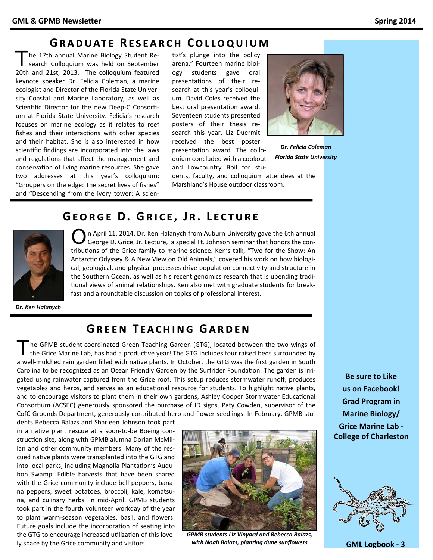## **GRADUATE RESEARCH COLLOQUIUM**

The 17th annual Marine Biology Student Research Colloquium was held on September 20th and 21st, 2013. The colloquium featured keynote speaker Dr. Felicia Coleman, a marine ecologist and Director of the Florida State Univer‐ sity Coastal and Marine Laboratory, as well as Scientific Director for the new Deep-C Consortium at Florida State University. Felicia's research focuses on marine ecology as it relates to reef fishes and their interactions with other species and their habitat. She is also interested in how scientific findings are incorporated into the laws and regulations that affect the management and conservation of living marine resources. She gave two addresses at this year's colloquium: "Groupers on the edge: The secret lives of fishes" and "Descending from the ivory tower: A scien‐

tist's plunge into the policy arena." Fourteen marine biol‐ ogy students gave oral presentations of their research at this year's colloqui‐ um. David Coles received the best oral presentation award. Seventeen students presented posters of their thesis re‐ search this year. Liz Duermit received the best poster presentation award. The colloquium concluded with a cookout

and Lowcountry Boil for stu‐ dents, faculty, and colloquium attendees at the Marshland's House outdoor classroom.



*Dr. Felicia Coleman Florida State University*

## $G$ **EORGE D. GRICE, JR. LECTURE**



 $\bigcirc$  n April 11, 2014, Dr. Ken Halanych from Auburn University gave the 6th annual<br>George D. Grice, Jr. Lecture, a special Ft. Johnson seminar that honors the contributions of the Grice family to marine science. Ken's talk, "Two for the Show: An Antarctic Odyssey & A New View on Old Animals," covered his work on how biological, geological, and physical processes drive population connectivity and structure in the Southern Ocean, as well as his recent genomics research that is upending tradi‐ tional views of animal relationships. Ken also met with graduate students for breakfast and a roundtable discussion on topics of professional interest.

*Dr. Ken Halanych*

### **GREEN TEACHING GARDEN**

The GPMB student-coordinated Green Teaching Garden (GTG), located between the two wings of the Grice Marine Lab, has had a productive year! The GTG includes four raised beds surrounded by a well-mulched rain garden filled with native plants. In October, the GTG was the first garden in South Carolina to be recognized as an Ocean Friendly Garden by the Surfrider Foundation. The garden is irrigated using rainwater captured from the Grice roof. This setup reduces stormwater runoff, produces vegetables and herbs, and serves as an educational resource for students. To highlight native plants, and to encourage visitors to plant them in their own gardens, Ashley Cooper Stormwater Educational Consortium (ACSEC) generously sponsored the purchase of ID signs. Paty Cowden, supervisor of the CofC Grounds Department, generously contributed herb and flower seedlings. In February, GPMB stu‐

dents Rebecca Balazs and Sharleen Johnson took part in a native plant rescue at a soon-to-be Boeing construction site, along with GPMB alumna Dorian McMillan and other community members. Many of the rescued native plants were transplanted into the GTG and into local parks, including Magnolia Plantation's Audubon Swamp. Edible harvests that have been shared with the Grice community include bell peppers, banana peppers, sweet potatoes, broccoli, kale, komatsu‐ na, and culinary herbs. In mid‐April, GPMB students took part in the fourth volunteer workday of the year to plant warm‐season vegetables, basil, and flowers. Future goals include the incorporation of seating into the GTG to encourage increased utilization of this lovely space by the Grice community and visitors.



*GPMB students Liz Vinyard and Rebecca Balazs, with Noah Balazs, planƟng dune sunflowers* 

**Be sure to Like us on Facebook! Grad Program in Marine Biology/ Grice Marine Lab ‐ College of Charleston** 



**GML Logbook ‐ 3**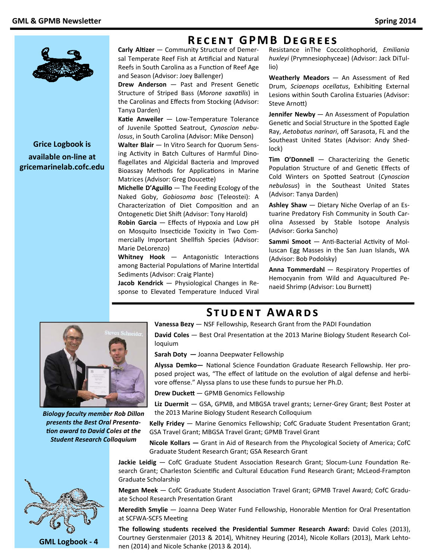

**Grice Logbook is** available on-line at gricemarinelab.cofc.edu **RECENT GPMB DEGREES** 

Carly Altizer - Community Structure of Demersal Temperate Reef Fish at Artificial and Natural Reefs in South Carolina as a Function of Reef Age and Season (Advisor: Joey Ballenger)

Drew Anderson - Past and Present Genetic Structure of Striped Bass (Morone saxatilis) in the Carolinas and Effects from Stocking (Advisor: Tanya Darden)

Katie Anweiler - Low-Temperature Tolerance of Juvenile Spotted Seatrout, Cynoscion nebulosus, in South Carolina (Advisor: Mike Denson)

Walter Blair - In Vitro Search for Quorum Sensing Activity in Batch Cultures of Harmful Dinoflagellates and Algicidal Bacteria and Improved Bioassay Methods for Applications in Marine Matrices (Advisor: Greg Doucette)

**Michelle D'Aguillo**  $-$  The Feeding Ecology of the Naked Goby, Gobiosoma bosc (Teleostei): A Characterization of Diet Composition and an Ontogenetic Diet Shift (Advisor: Tony Harold)

Robin Garcia - Effects of Hypoxia and Low pH on Mosquito Insecticide Toxicity in Two Commercially Important Shellfish Species (Advisor: Marie DeLorenzo)

Whitney Hook - Antagonistic Interactions among Bacterial Populations of Marine Intertidal Sediments (Advisor: Craig Plante)

Jacob Kendrick - Physiological Changes in Response to Elevated Temperature Induced Viral

Resistance inThe Coccolithophorid, Emiliania huxleyi (Prymnesiophyceae) (Advisor: Jack DiTullio)

Weatherly Meadors - An Assessment of Red Drum, Sciaenops ocellatus, Exhibiting External Lesions within South Carolina Estuaries (Advisor: Steve Arnott)

Jennifer Newby - An Assessment of Population Genetic and Social Structure in the Spotted Eagle Ray, Aetobatus narinari, off Sarasota, FL and the Southeast United States (Advisor: Andy Shedlock)

Tim O'Donnell - Characterizing the Genetic Population Structure of and Genetic Effects of Cold Winters on Spotted Seatrout (Cynoscion nebulosus) in the Southeast United States (Advisor: Tanya Darden)

Ashley Shaw - Dietary Niche Overlap of an Estuarine Predatory Fish Community in South Carolina Assessed by Stable Isotope Analysis (Advisor: Gorka Sancho)

Sammi Smoot - Anti-Bacterial Activity of Molluscan Egg Masses in the San Juan Islands, WA (Advisor: Bob Podolsky)

Anna Tommerdahl - Respiratory Properties of Hemocyanin from Wild and Aquacultured Penaeid Shrimp (Advisor: Lou Burnett)



**Biology faculty member Rob Dillon** presents the Best Oral Presentation award to David Coles at the **Student Research Colloquium** 



**GML Logbook - 4** 

**STUDENT AWARDS** 

Vanessa Bezy - NSF Fellowship, Research Grant from the PADI Foundation

David Coles - Best Oral Presentation at the 2013 Marine Biology Student Research Colloquium

Sarah Doty - Joanna Deepwater Fellowship

Alyssa Demko- National Science Foundation Graduate Research Fellowship. Her proposed project was, "The effect of latitude on the evolution of algal defense and herbivore offense." Alyssa plans to use these funds to pursue her Ph.D.

Drew Duckett - GPMB Genomics Fellowship

Liz Duermit - GSA, GPMB, and MBGSA travel grants; Lerner-Grey Grant; Best Poster at the 2013 Marine Biology Student Research Colloquium

Kelly Fridey - Marine Genomics Fellowship; CofC Graduate Student Presentation Grant; GSA Travel Grant; MBGSA Travel Grant; GPMB Travel Grant

Nicole Kollars - Grant in Aid of Research from the Phycological Society of America; CofC Graduate Student Research Grant; GSA Research Grant

Jackie Leidig - CofC Graduate Student Association Research Grant; Slocum-Lunz Foundation Research Grant; Charleston Scientific and Cultural Education Fund Research Grant; McLeod-Frampton Graduate Scholarship

Megan Meek - CofC Graduate Student Association Travel Grant; GPMB Travel Award; CofC Graduate School Research Presentation Grant

Meredith Smylie - Joanna Deep Water Fund Fellowship, Honorable Mention for Oral Presentation at SCFWA-SCFS Meeting

The following students received the Presidential Summer Research Award: David Coles (2013), Courtney Gerstenmaier (2013 & 2014), Whitney Heuring (2014), Nicole Kollars (2013), Mark Lehtonen (2014) and Nicole Schanke (2013 & 2014).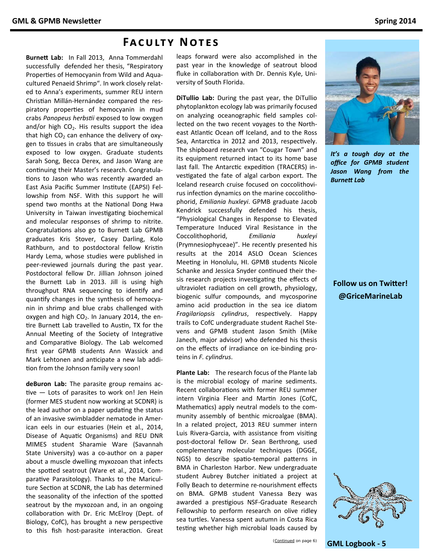#### **FACULTY NOTES**

Burnett Lab: In Fall 2013, Anna Tommerdahl successfully defended her thesis, "Respiratory Properties of Hemocyanin from Wild and Aquacultured Penaeid Shrimp". In work closely related to Anna's experiments, summer REU intern Christian Millán-Hernández compared the respiratory properties of hemocyanin in mud crabs Panopeus herbstii exposed to low oxygen and/or high  $CO<sub>2</sub>$ . His results support the idea that high CO<sub>2</sub> can enhance the delivery of oxygen to tissues in crabs that are simultaneously exposed to low oxygen. Graduate students Sarah Song, Becca Derex, and Jason Wang are continuing their Master's research. Congratulations to Jason who was recently awarded an East Asia Pacific Summer Institute (EAPSI) Fellowship from NSF. With this support he will spend two months at the National Dong Hwa University in Taiwan investigating biochemical and molecular responses of shrimp to nitrite. Congratulations also go to Burnett Lab GPMB graduates Kris Stover, Casey Darling, Kolo Rathburn, and to postdoctoral fellow Kristin Hardy Lema, whose studies were published in peer-reviewed journals during the past year. Postdoctoral fellow Dr. Jillian Johnson joined the Burnett Lab in 2013. Jill is using high throughput RNA sequencing to identify and quantify changes in the synthesis of hemocyanin in shrimp and blue crabs challenged with oxygen and high CO<sub>2</sub>. In January 2014, the entire Burnett Lab travelled to Austin, TX for the Annual Meeting of the Society of Integrative and Comparative Biology. The Lab welcomed first year GPMB students Ann Wassick and Mark Lehtonen and anticipate a new lab addition from the Johnson family very soon!

deBuron Lab: The parasite group remains active - Lots of parasites to work on! Jen Hein (former MES student now working at SCDNR) is the lead author on a paper updating the status of an invasive swimbladder nematode in American eels in our estuaries (Hein et al., 2014, Disease of Aquatic Organisms) and REU DNR MIMES student Sharamie Ware (Savannah State University) was a co-author on a paper about a muscle dwelling myxozoan that infects the spotted seatrout (Ware et al., 2014, Comparative Parasitology). Thanks to the Mariculture Section at SCDNR, the Lab has determined the seasonality of the infection of the spotted seatrout by the myxozoan and, in an ongoing collaboration with Dr. Eric McElroy (Dept. of Biology, CofC), has brought a new perspective to this fish host-parasite interaction. Great leaps forward were also accomplished in the past year in the knowledge of seatrout blood fluke in collaboration with Dr. Dennis Kyle, University of South Florida.

DiTullio Lab: During the past year, the DiTullio phytoplankton ecology lab was primarily focused on analyzing oceanographic field samples collected on the two recent voyages to the Northeast Atlantic Ocean off Iceland, and to the Ross Sea, Antarctica in 2012 and 2013, respectively. The shipboard research van "Cougar Town" and its equipment returned intact to its home base last fall. The Antarctic expedition (TRACERS) investigated the fate of algal carbon export. The Iceland research cruise focused on coccolithovirus infection dynamics on the marine coccolithophorid, Emiliania huxleyi. GPMB graduate Jacob Kendrick successfully defended his thesis, "Physiological Changes in Response to Elevated Temperature Induced Viral Resistance in the Coccolithophorid, Emiliania huxleyi (Prymnesiophyceae)". He recently presented his results at the 2014 ASLO Ocean Sciences Meeting in Honolulu, HI. GPMB students Nicole Schanke and Jessica Snyder continued their thesis research projects investigating the effects of ultraviolet radiation on cell growth, physiology, biogenic sulfur compounds, and mycosporine amino acid production in the sea ice diatom Fragilariopsis cylindrus, respectively. Happy trails to CofC undergraduate student Rachel Stevens and GPMB student Jason Smith (Mike Janech, major advisor) who defended his thesis on the effects of irradiance on ice-binding proteins in F. cylindrus.

Plante Lab: The research focus of the Plante lab is the microbial ecology of marine sediments. Recent collaborations with former REU summer intern Virginia Fleer and Martin Jones (CofC, Mathematics) apply neutral models to the community assembly of benthic microalgae (BMA). In a related project, 2013 REU summer intern Luis Rivera-Garcia, with assistance from visiting post-doctoral fellow Dr. Sean Berthrong, used complementary molecular techniques (DGGE, NGS) to describe spatio-temporal patterns in BMA in Charleston Harbor. New undergraduate student Aubrey Butcher initiated a project at Folly Beach to determine re-nourishment effects on BMA. GPMB student Vanessa Bezy was awarded a prestigious NSF-Graduate Research Fellowship to perform research on olive ridley sea turtles. Vanessa spent autumn in Costa Rica testing whether high microbial loads caused by



It's a tough day at the office for GPMB student Jason Wang from the **Burnett Lab** 

#### **Follow us on Twitter!** @GriceMarineLab



**GML Logbook - 5**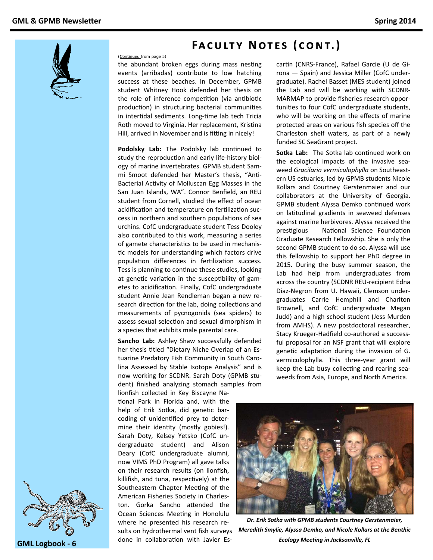

# **FACULTY NOTES (CONT.)**

*(Continued from page 5)* 

the abundant broken eggs during mass nesting events (arribadas) contribute to low hatching success at these beaches. In December, GPMB student Whitney Hook defended her thesis on the role of inference competition (via antibiotic production) in structuring bacterial communities in intertidal sediments. Long-time lab tech Tricia Roth moved to Virginia. Her replacement, Kristina Hill, arrived in November and is fitting in nicely!

**Podolsky Lab:** The Podolsky lab continued to study the reproduction and early life-history biology of marine invertebrates. GPMB student Sam‐ mi Smoot defended her Master's thesis, "Anti-Bacterial Activity of Molluscan Egg Masses in the San Juan Islands, WA". Connor Benfield, an REU student from Cornell, studied the effect of ocean acidification and temperature on fertilization success in northern and southern populations of sea urchins. CofC undergraduate student Tess Dooley also contributed to this work, measuring a series of gamete characteristics to be used in mechanistic models for understanding which factors drive population differences in fertilization success. Tess is planning to continue these studies, looking at genetic variation in the susceptibility of gametes to acidification. Finally, CofC undergraduate student Annie Jean Rendleman began a new re‐ search direction for the lab, doing collections and measurements of pycnogonids (sea spiders) to assess sexual selection and sexual dimorphism in a species that exhibits male parental care.

**Sancho Lab:** Ashley Shaw successfully defended her thesis titled "Dietary Niche Overlap of an Estuarine Predatory Fish Community in South Caro‐ lina Assessed by Stable Isotope Analysis" and is now working for SCDNR. Sarah Doty (GPMB stu‐ dent) finished analyzing stomach samples from

lionfish collected in Key Biscayne Na‐ tional Park in Florida and, with the help of Erik Sotka, did genetic barcoding of unidentified prey to determine their identity (mostly gobies!). Sarah Doty, Kelsey Yetsko (CofC un‐ dergraduate student) and Alison Deary (CofC undergraduate alumni, now VIMS PhD Program) all gave talks on their research results (on lionfish, killifish, and tuna, respectively) at the Southeastern Chapter Meeting of the American Fisheries Society in Charles‐ ton. Gorka Sancho attended the Ocean Sciences Meeting in Honolulu where he presented his research results on hydrothermal vent fish surveys done in collaboration with Javier Escartin (CNRS-France), Rafael Garcie (U de Girona — Spain) and Jessica Miller (CofC under‐ graduate). Rachel Basset (MES student) joined the Lab and will be working with SCDNR‐ MARMAP to provide fisheries research oppor‐ tuniƟes to four CofC undergraduate students, who will be working on the effects of marine protected areas on various fish species off the Charleston shelf waters, as part of a newly funded SC SeaGrant project.

**Sotka Lab:** The Sotka lab continued work on the ecological impacts of the invasive sea‐ weed *Gracilaria vermiculophylla* on Southeast‐ ern US estuaries, led by GPMB students Nicole Kollars and Courtney Gerstenmaier and our collaborators at the University of Georgia. GPMB student Alyssa Demko continued work on latitudinal gradients in seaweed defenses against marine herbivores. Alyssa received the prestigious National Science Foundation Graduate Research Fellowship. She is only the second GPMB student to do so. Alyssa will use this fellowship to support her PhD degree in 2015. During the busy summer season, the Lab had help from undergraduates from across the country (SCDNR REU‐recipient Edna Diaz‐Negron from U. Hawaii, Clemson under‐ graduates Carrie Hemphill and Charlton Brownell, and CofC undergraduate Megan Judd) and a high school student (Jess Murden from AMHS). A new postdoctoral researcher, Stacy Krueger‐Hadfield co‐authored a success‐ ful proposal for an NSF grant that will explore genetic adaptation during the invasion of G. vermiculophylla. This three‐year grant will keep the Lab busy collecting and rearing seaweeds from Asia, Europe, and North America.



*Dr. Erik Sotka with GPMB students Courtney Gerstenmaier, Meredith Smylie, Alyssa Demko, and Nicole Kollars at the Benthic Ecology MeeƟng in Jacksonville, FL*



**GML Logbook ‐ 6**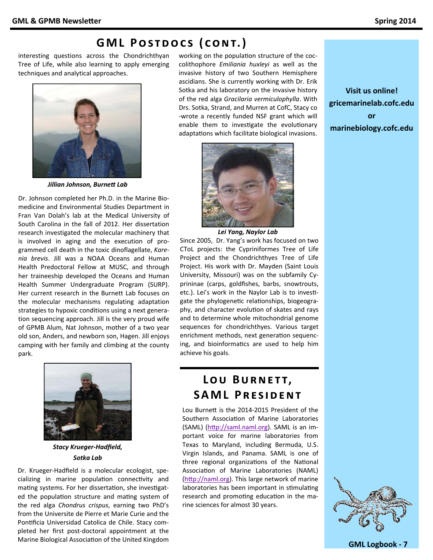# **GML POSTDOCS (CONT.)**

interesting questions across the Chondrichthyan Tree of Life, while also learning to apply emerging techniques and analytical approaches.



Jillian Johnson, Burnett Lab

Dr. Johnson completed her Ph.D. in the Marine Biomedicine and Environmental Studies Department in Fran Van Dolah's lab at the Medical University of South Carolina in the fall of 2012. Her dissertation research investigated the molecular machinery that is involved in aging and the execution of programmed cell death in the toxic dinoflagellate, Karenia brevis. Jill was a NOAA Oceans and Human Health Predoctoral Fellow at MUSC, and through her traineeship developed the Oceans and Human Health Summer Undergraduate Program (SURP). Her current research in the Burnett Lab focuses on the molecular mechanisms regulating adaptation strategies to hypoxic conditions using a next generation sequencing approach. Jill is the very proud wife of GPMB Alum, Nat Johnson, mother of a two year old son, Anders, and newborn son, Hagen. Jill enjoys camping with her family and climbing at the county park.



**Stacy Krueger-Hadfield,** Sotka Lab

Dr. Krueger-Hadfield is a molecular ecologist, specializing in marine population connectivity and mating systems. For her dissertation, she investigated the population structure and mating system of the red alga Chondrus crispus, earning two PhD's from the Universite de Pierre et Marie Curie and the Pontificia Universidad Catolica de Chile. Stacy completed her first post-doctoral appointment at the Marine Biological Association of the United Kingdom working on the population structure of the coccolithophore Emiliania huxleyi as well as the invasive history of two Southern Hemisphere ascidians. She is currently working with Dr. Erik Sotka and his laboratory on the invasive history of the red alga Gracilaria vermiculophylla. With Drs. Sotka, Strand, and Murren at CofC, Stacy co -wrote a recently funded NSF grant which will enable them to investigate the evolutionary adaptations which facilitate biological invasions.



Lei Yang, Naylor Lab

Since 2005, Dr. Yang's work has focused on two CToL projects: the Cypriniformes Tree of Life Project and the Chondrichthyes Tree of Life Project. His work with Dr. Mayden (Saint Louis University, Missouri) was on the subfamily Cyprininae (carps, goldfishes, barbs, snowtrouts, etc.). Lei's work in the Naylor Lab is to investigate the phylogenetic relationships, biogeography, and character evolution of skates and rays and to determine whole mitochondrial genome sequences for chondrichthyes. Various target enrichment methods, next generation sequencing, and bioinformatics are used to help him achieve his goals.

# LOU BURNETT, **SAML PRESIDENT**

Lou Burnett is the 2014-2015 President of the Southern Association of Marine Laboratories (SAML) (http://saml.naml.org). SAML is an important voice for marine laboratories from Texas to Maryland, including Bermuda, U.S. Virgin Islands, and Panama. SAML is one of three regional organizations of the National Association of Marine Laboratories (NAML) (http://naml.org). This large network of marine laboratories has been important in stimulating research and promoting education in the marine sciences for almost 30 years.

**Visit us online!** gricemarinelab.cofc.edu or marinebiology.cofc.edu



**GML Logbook - 7**